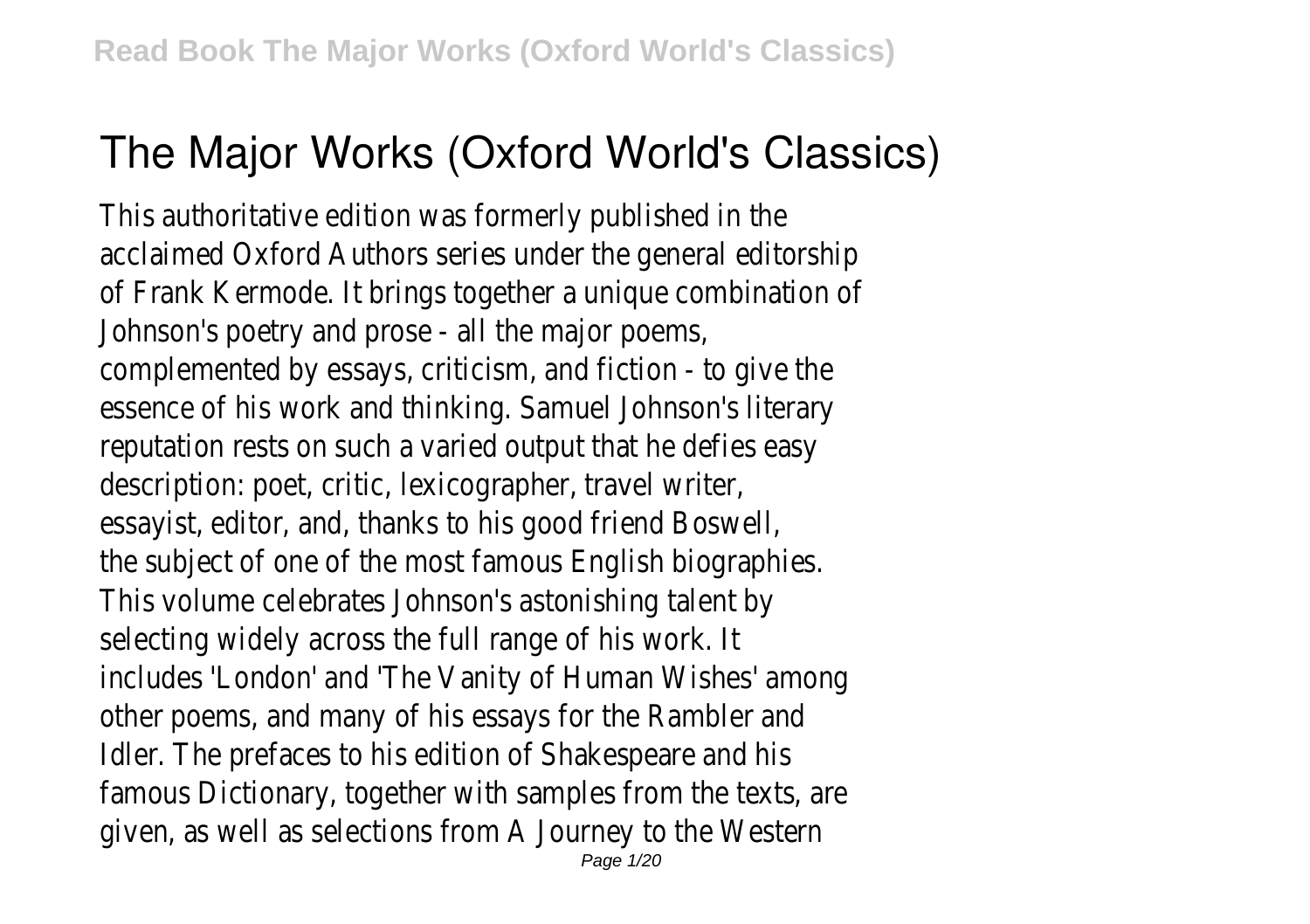# **The Major Works (Oxford World's Classics)**

This authoritative edition was formerly published in acclaimed Oxford Authors series under the general editorship of Frank Kermode. It brings together a unique Johnson's poetry and prose - all the complemented by essays, criticism, and fiction essence of his work and thinking. Samuel Jo reputation rests on such a varied output that description: poet, critic, lexicographer, essayist, editor, and, thanks to his good the subject of one of the most famous Engl This volume celebrates Johnson's astonis selecting widely across the full range includes 'London' and 'The Vanity of Human other poems, and many of his essays for the Idler. The prefaces to his edition of Shake famous Dictionary, together with samples from given, as well as selections from A Journey Page 1/20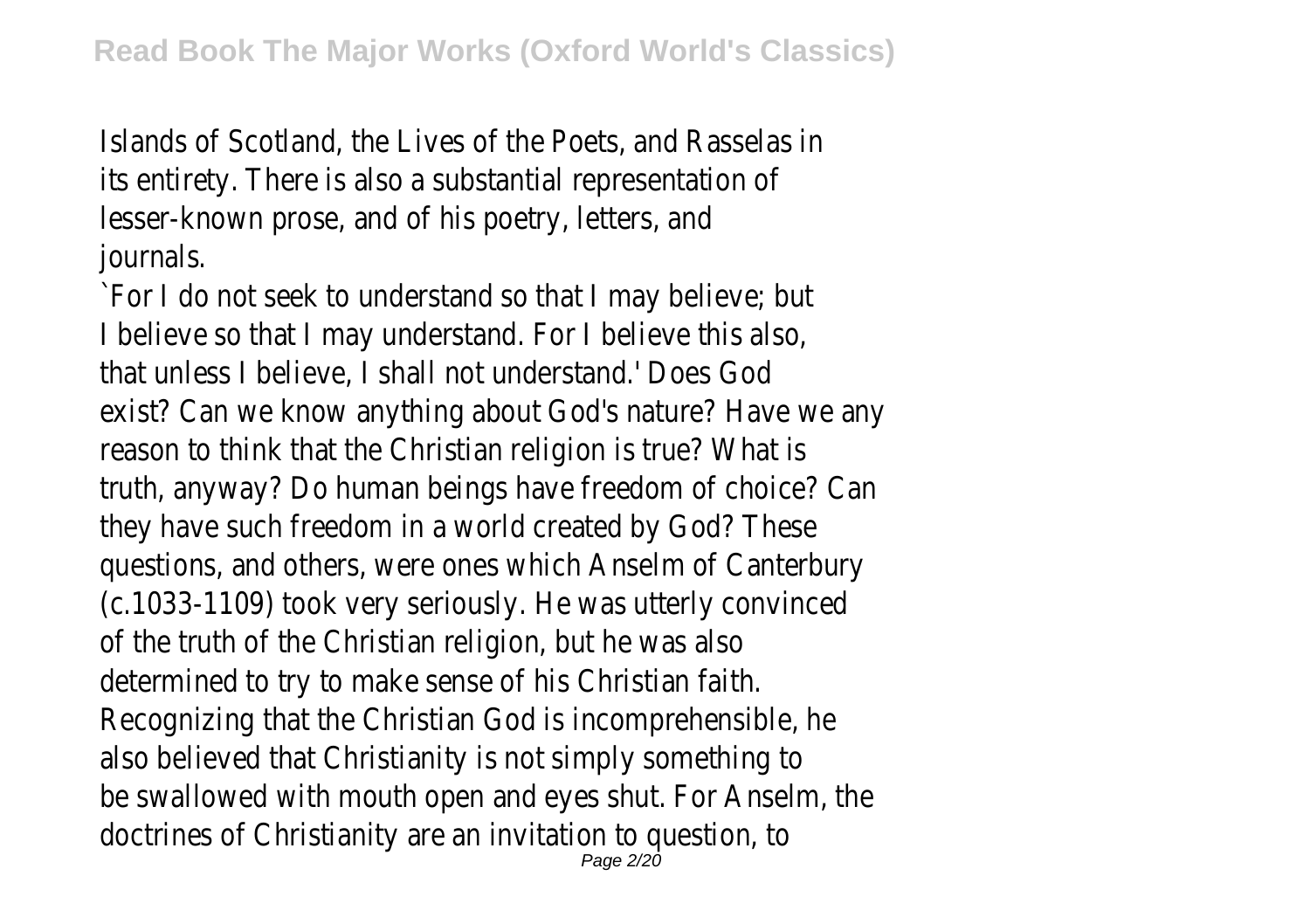Islands of Scotland, the Lives of the Poets, its entirety. There is also a substantial represent lesser-known prose, and of his poetry journa

`For I do not seek to understand so that I r I believe so that I may understand. For I be that unless I believe. I shall not understand. exist? Can we know anything about God's nature reason to think that the Christian religion is truth, anyway? Do human beings have freedon they have such freedom in a world created questions, and others, were ones which Ansel  $(c.1033-1109)$  took very seriously. He was u of the truth of the Christian religion, but determined to try to make sense of his Recognizing that the Christian God is incom also believed that Christianity is not simply be swallowed with mouth open and eyes shut. doctrines of Christianity are an invitation Page 2/20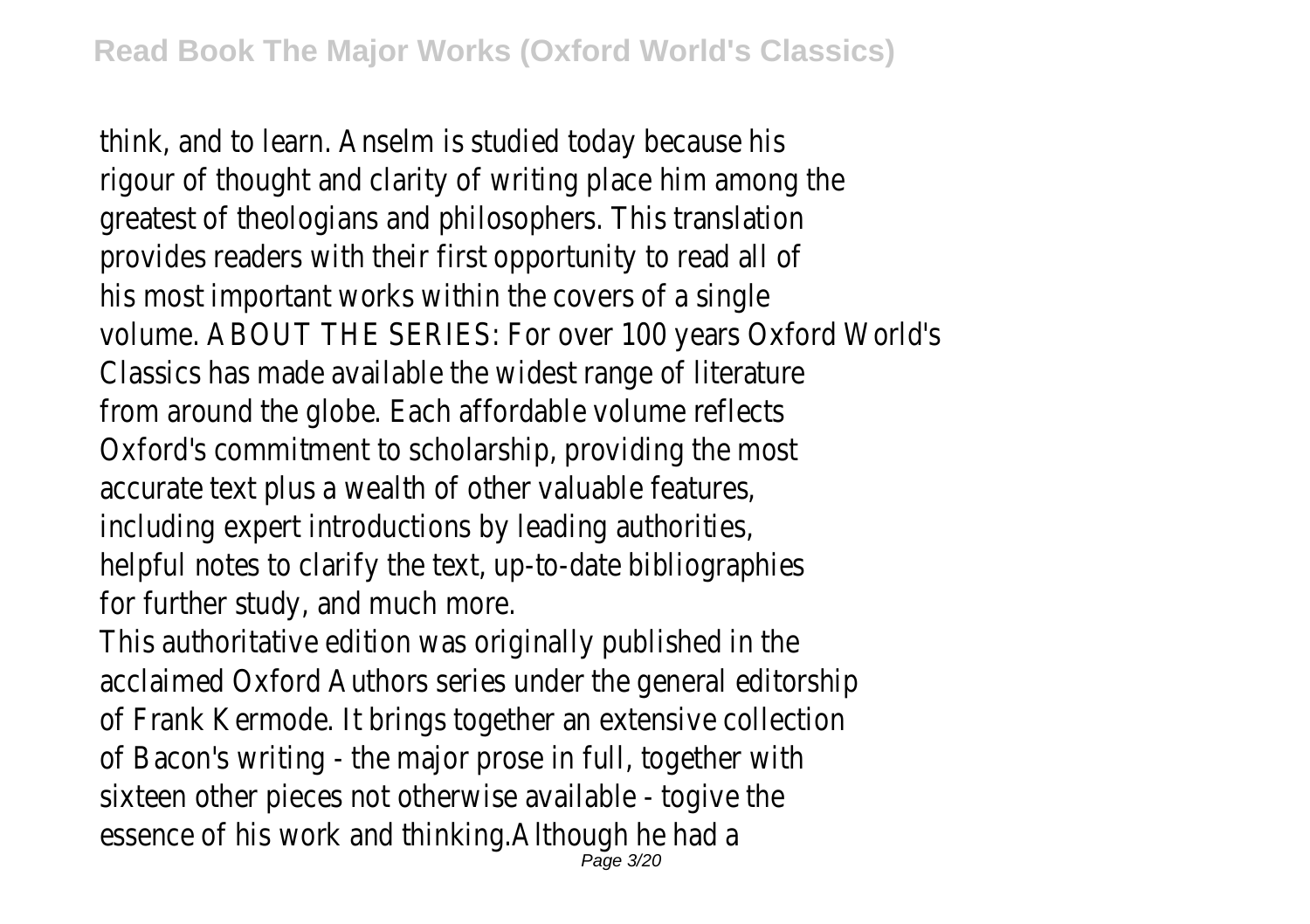think, and to learn. Anselm is studied today rigour of thought and clarity of writing place greatest of theologians and philosophers. provides readers with their first opportunity his most important works within the cov volume. ABOUT THE SERIES: For over 100 years Classics has made available the widest range of any from around the globe. Each affordable v Oxford's commitment to scholarship, providing the most most extending the most of  $\alpha$ accurate text plus a wealth of other valuable including expert introductions by leading helpful notes to clarify the text, up-to-date for further study, and mu

This authoritative edition was originally published in acclaimed Oxford Authors series under the general editorship of Frank Kermode. It brings together an extensive containof Bacon's writing - the major prose in full sixteen other pieces not otherwise available sixteen essence of his work and thinking. Altho Page 3/20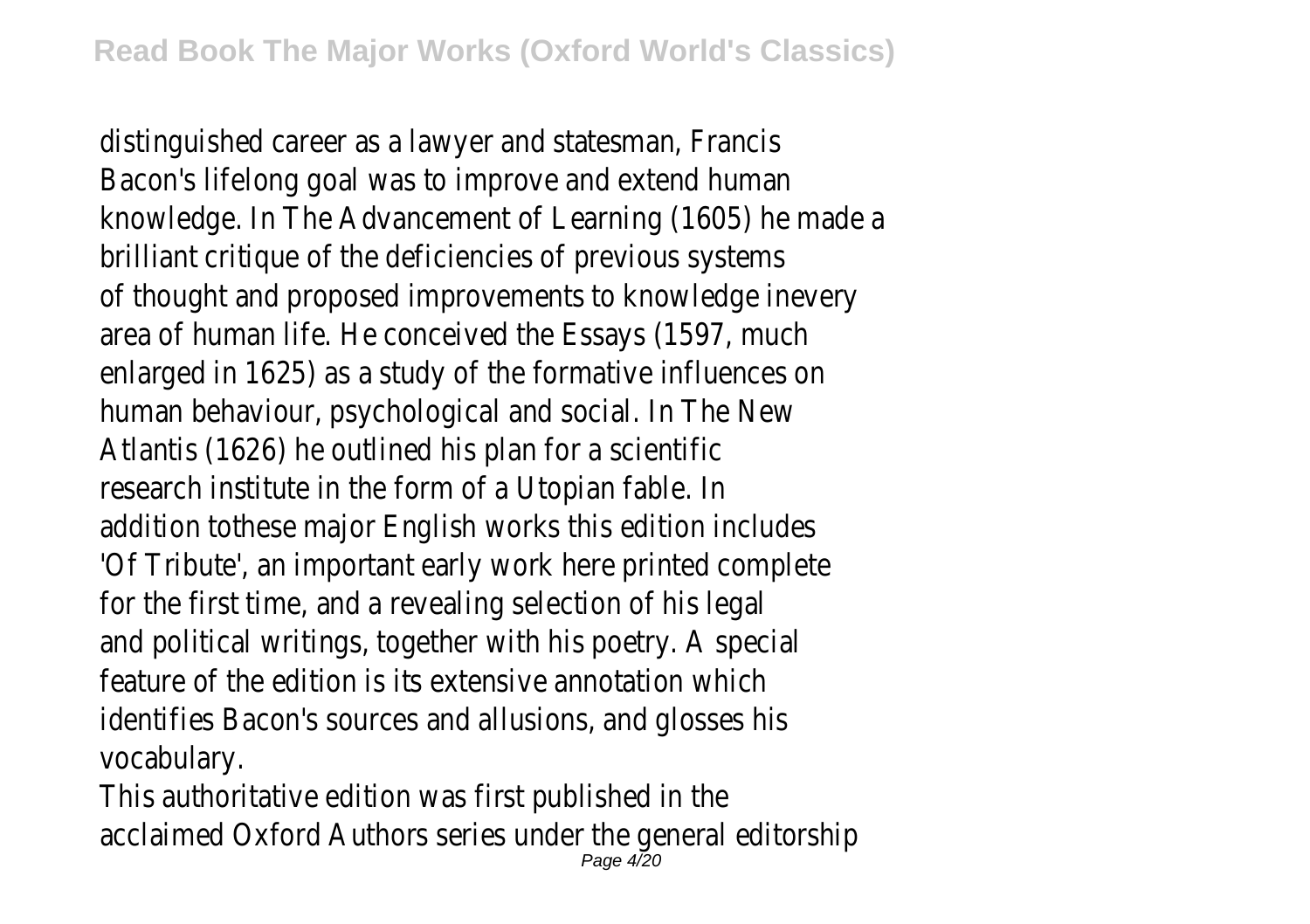distinguished career as a lawyer and states Bacon's lifelong goal was to improve and knowledge. In The Advancement of Learning (1) brilliant critique of the deficiencies of pre of thought and proposed improvements to kn area of human life. He conceived the Essay enlarged in 1625) as a study of the formative human behaviour, psychological and soci Atlantis (1626) he outlined his plan  $f$ research institute in the form of a Uto addition tothese major English works this 'Of Tribute', an important early work here pi for the first time, and a revealing select and political writings, together with his po feature of the edition is its extensive an identifies Bacon's sources and allusions, and vocabula

This authoritative edition was first pu acclaimed Oxford Authors series under the general editorship Page 4/20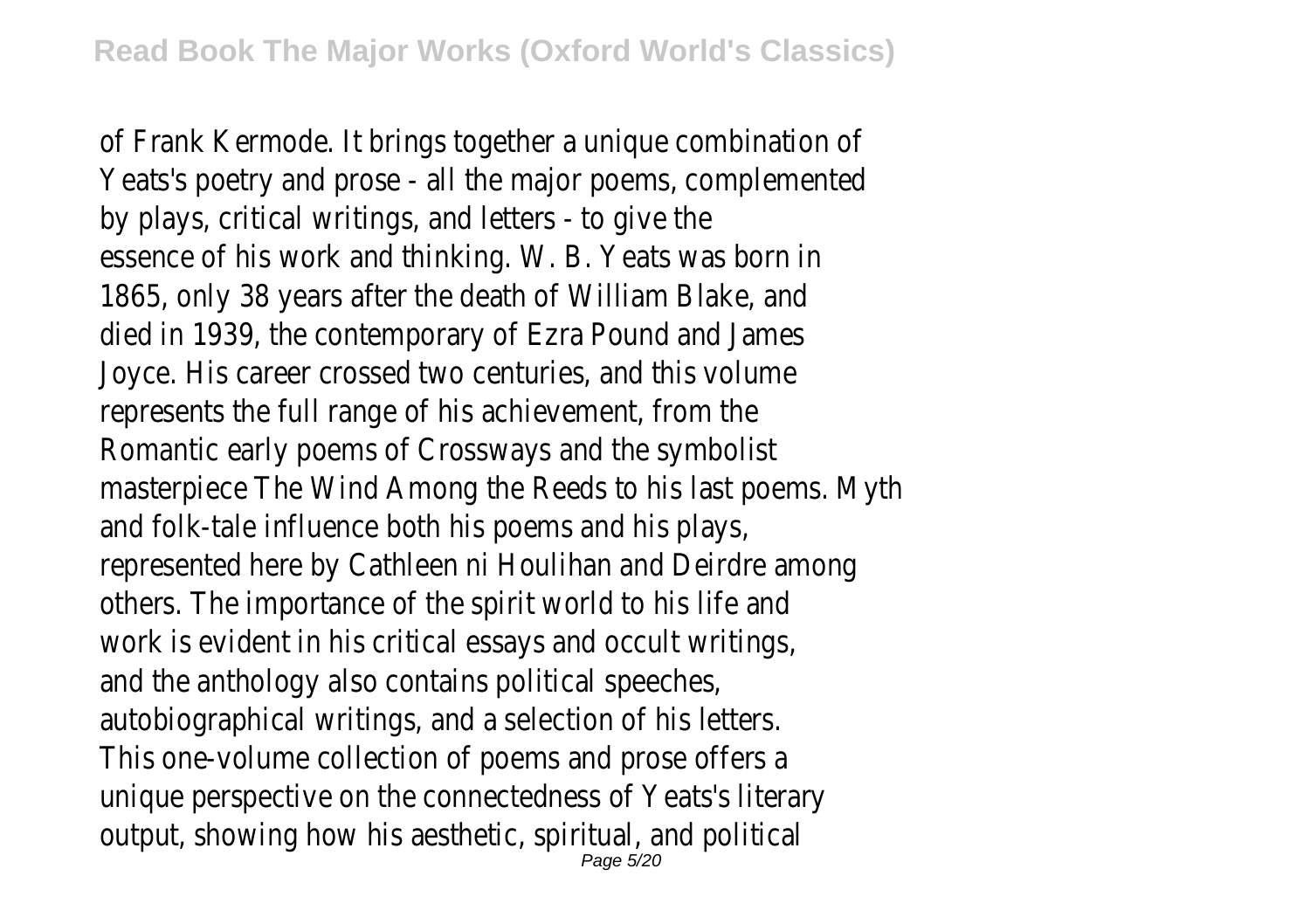of Frank Kermode. It brings together a unique Yeats's poetry and prose - all the major poems by plays, critical writings, and letters essence of his work and thinking. W. B. Yeats 1865, only 38 years after the death of Wi died in 1939, the contemporary of Ezra Pound and Andrew Joyce. His career crossed two centuries, and their represents the full range of his achiever Romantic early poems of Crossways and masterpiece The Wind Among the Reeds to his I and folk-tale influence both his poems represented here by Cathleen ni Houlihan and others. The importance of the spirit world work is evident in his critical essays and occur and the anthology also contains political autobiographical writings, and a selection This one-volume collection of poems and unique perspective on the connectedness of output, showing how his aesthetic, spiritual Page 5/20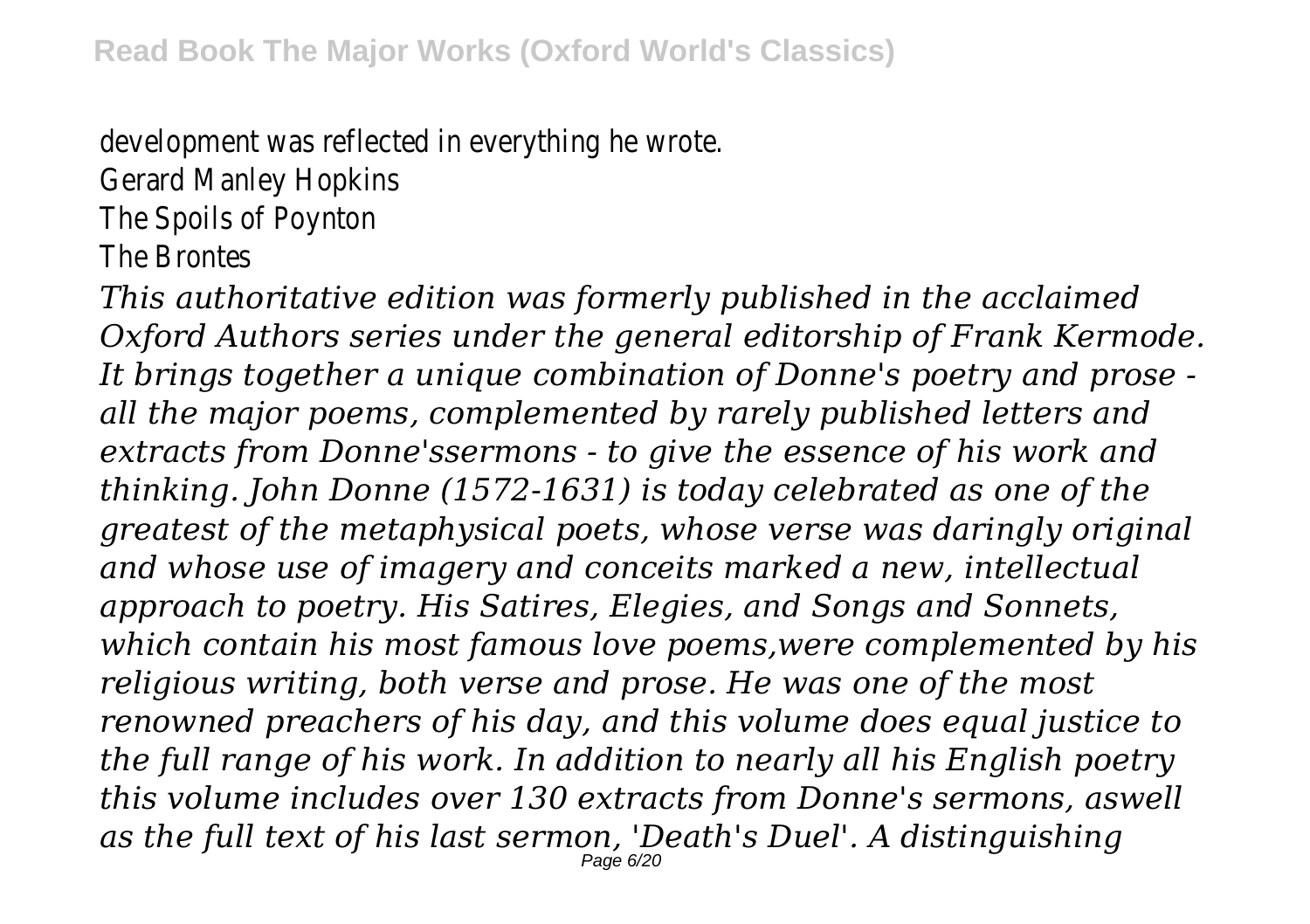development was reflected in everyth

Gerard Manley Ho

The Spoils of Po

The Bront

*This authoritative edition was formerly published in the acclaimed Oxford Authors series under the general editorship of Frank Kermode. It brings together a unique combination of Donne's poetry and prose all the major poems, complemented by rarely published letters and extracts from Donne'ssermons - to give the essence of his work and thinking. John Donne (1572-1631) is today celebrated as one of the greatest of the metaphysical poets, whose verse was daringly original and whose use of imagery and conceits marked a new, intellectual approach to poetry. His Satires, Elegies, and Songs and Sonnets, which contain his most famous love poems,were complemented by his religious writing, both verse and prose. He was one of the most renowned preachers of his day, and this volume does equal justice to the full range of his work. In addition to nearly all his English poetry this volume includes over 130 extracts from Donne's sermons, aswell as the full text of his last sermon, 'Death's Duel'. A distinguishing* Page 6/20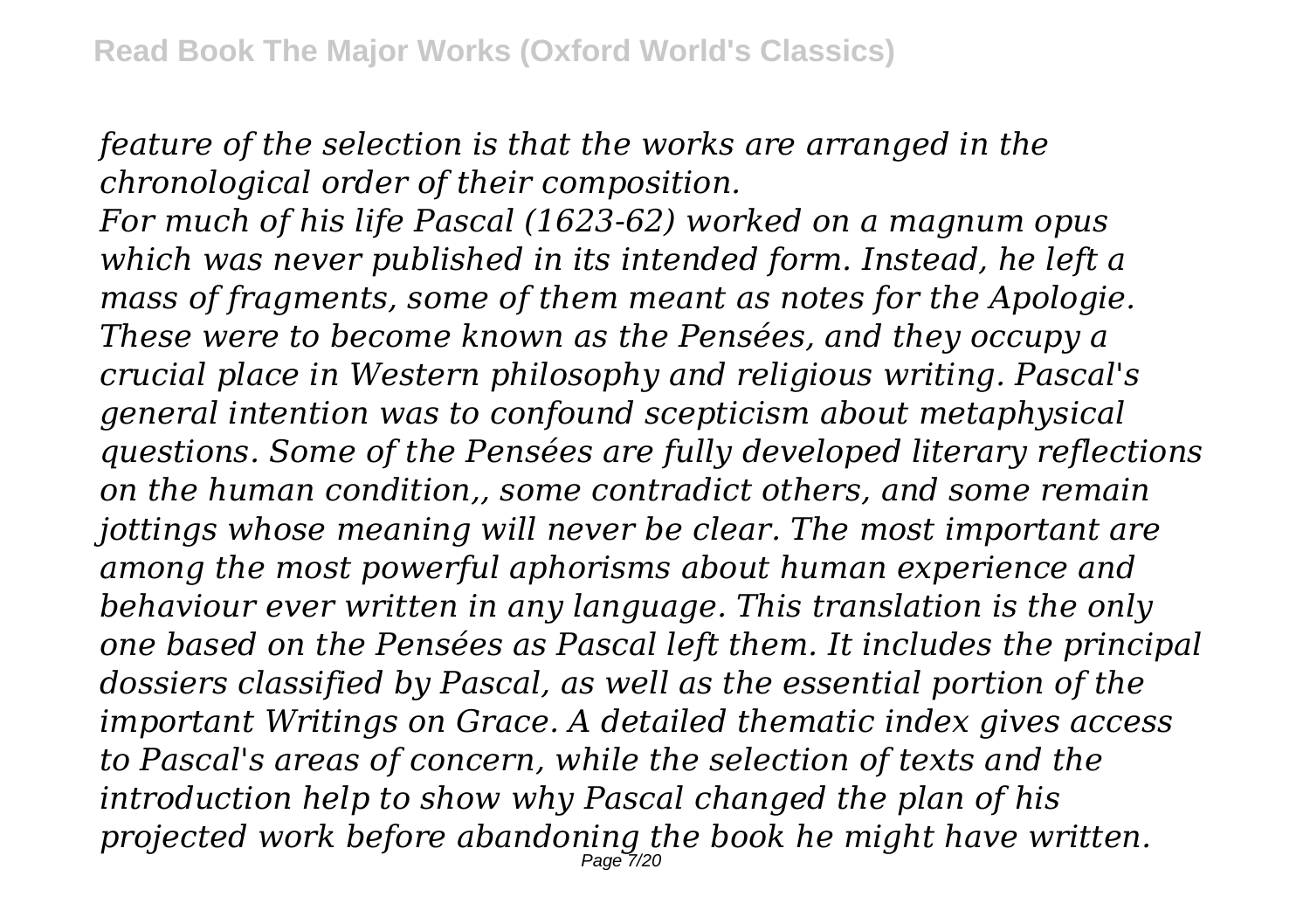*feature of the selection is that the works are arranged in the chronological order of their composition.*

*For much of his life Pascal (1623-62) worked on a magnum opus which was never published in its intended form. Instead, he left a mass of fragments, some of them meant as notes for the Apologie. These were to become known as the Pensées, and they occupy a crucial place in Western philosophy and religious writing. Pascal's general intention was to confound scepticism about metaphysical questions. Some of the Pensées are fully developed literary reflections on the human condition,, some contradict others, and some remain jottings whose meaning will never be clear. The most important are among the most powerful aphorisms about human experience and behaviour ever written in any language. This translation is the only one based on the Pensées as Pascal left them. It includes the principal dossiers classified by Pascal, as well as the essential portion of the important Writings on Grace. A detailed thematic index gives access to Pascal's areas of concern, while the selection of texts and the introduction help to show why Pascal changed the plan of his projected work before abandoning the book he might have written.* Page 7/20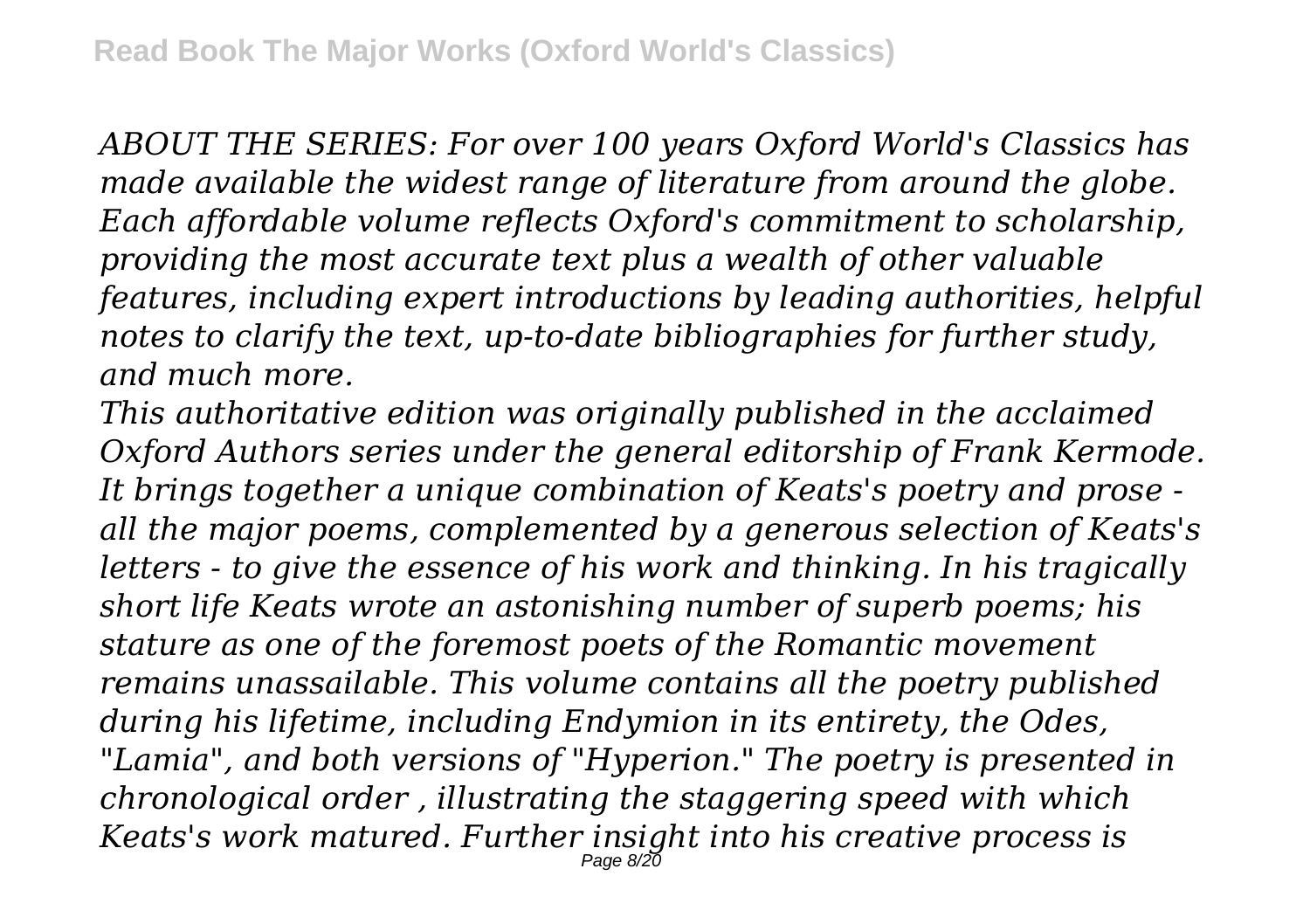*ABOUT THE SERIES: For over 100 years Oxford World's Classics has made available the widest range of literature from around the globe. Each affordable volume reflects Oxford's commitment to scholarship, providing the most accurate text plus a wealth of other valuable features, including expert introductions by leading authorities, helpful notes to clarify the text, up-to-date bibliographies for further study, and much more.*

*This authoritative edition was originally published in the acclaimed Oxford Authors series under the general editorship of Frank Kermode. It brings together a unique combination of Keats's poetry and prose all the major poems, complemented by a generous selection of Keats's letters - to give the essence of his work and thinking. In his tragically short life Keats wrote an astonishing number of superb poems; his stature as one of the foremost poets of the Romantic movement remains unassailable. This volume contains all the poetry published during his lifetime, including Endymion in its entirety, the Odes, "Lamia", and both versions of "Hyperion." The poetry is presented in chronological order , illustrating the staggering speed with which Keats's work matured. Further insight into his creative process is* Page  $8/2\bar{0}$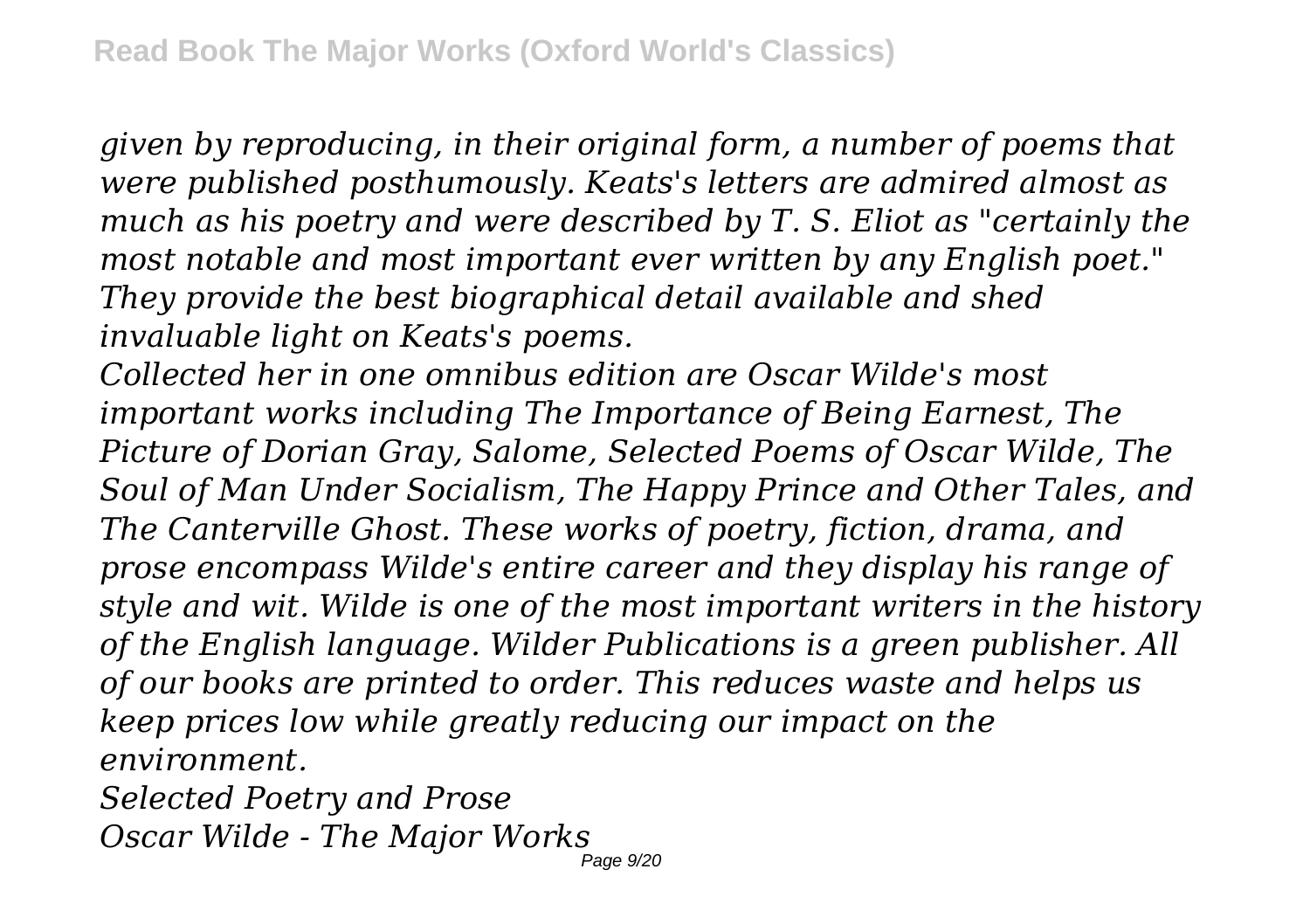*given by reproducing, in their original form, a number of poems that were published posthumously. Keats's letters are admired almost as much as his poetry and were described by T. S. Eliot as "certainly the most notable and most important ever written by any English poet." They provide the best biographical detail available and shed invaluable light on Keats's poems.*

*Collected her in one omnibus edition are Oscar Wilde's most important works including The Importance of Being Earnest, The Picture of Dorian Gray, Salome, Selected Poems of Oscar Wilde, The Soul of Man Under Socialism, The Happy Prince and Other Tales, and The Canterville Ghost. These works of poetry, fiction, drama, and prose encompass Wilde's entire career and they display his range of style and wit. Wilde is one of the most important writers in the history of the English language. Wilder Publications is a green publisher. All of our books are printed to order. This reduces waste and helps us keep prices low while greatly reducing our impact on the environment. Selected Poetry and Prose*

*Oscar Wilde - The Major Works*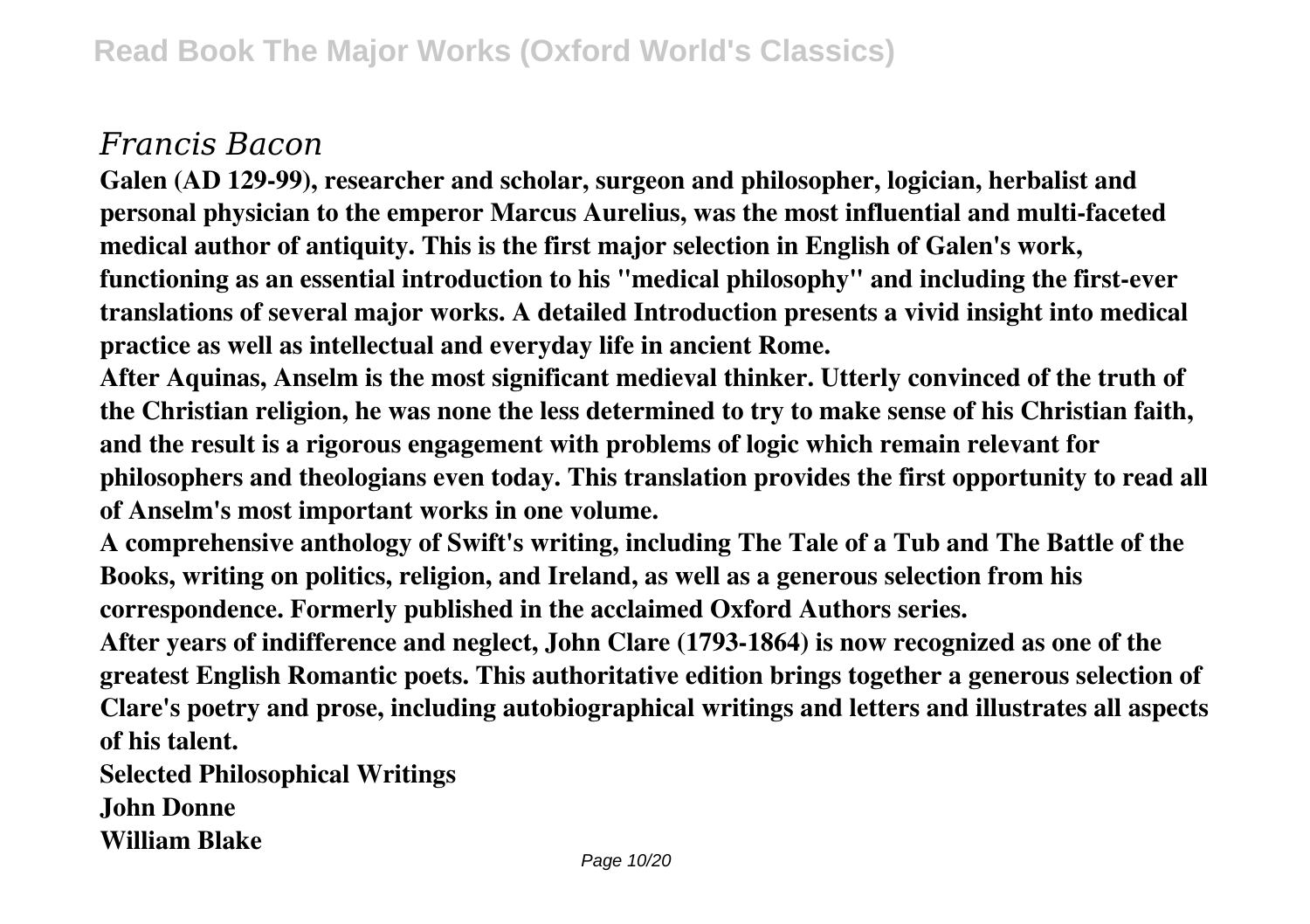## *Francis Bacon*

**Galen (AD 129-99), researcher and scholar, surgeon and philosopher, logician, herbalist and personal physician to the emperor Marcus Aurelius, was the most influential and multi-faceted medical author of antiquity. This is the first major selection in English of Galen's work, functioning as an essential introduction to his "medical philosophy" and including the first-ever translations of several major works. A detailed Introduction presents a vivid insight into medical practice as well as intellectual and everyday life in ancient Rome.**

**After Aquinas, Anselm is the most significant medieval thinker. Utterly convinced of the truth of the Christian religion, he was none the less determined to try to make sense of his Christian faith, and the result is a rigorous engagement with problems of logic which remain relevant for philosophers and theologians even today. This translation provides the first opportunity to read all of Anselm's most important works in one volume.**

**A comprehensive anthology of Swift's writing, including The Tale of a Tub and The Battle of the Books, writing on politics, religion, and Ireland, as well as a generous selection from his correspondence. Formerly published in the acclaimed Oxford Authors series.**

**After years of indifference and neglect, John Clare (1793-1864) is now recognized as one of the greatest English Romantic poets. This authoritative edition brings together a generous selection of Clare's poetry and prose, including autobiographical writings and letters and illustrates all aspects of his talent.**

**Selected Philosophical Writings**

**John Donne**

**William Blake**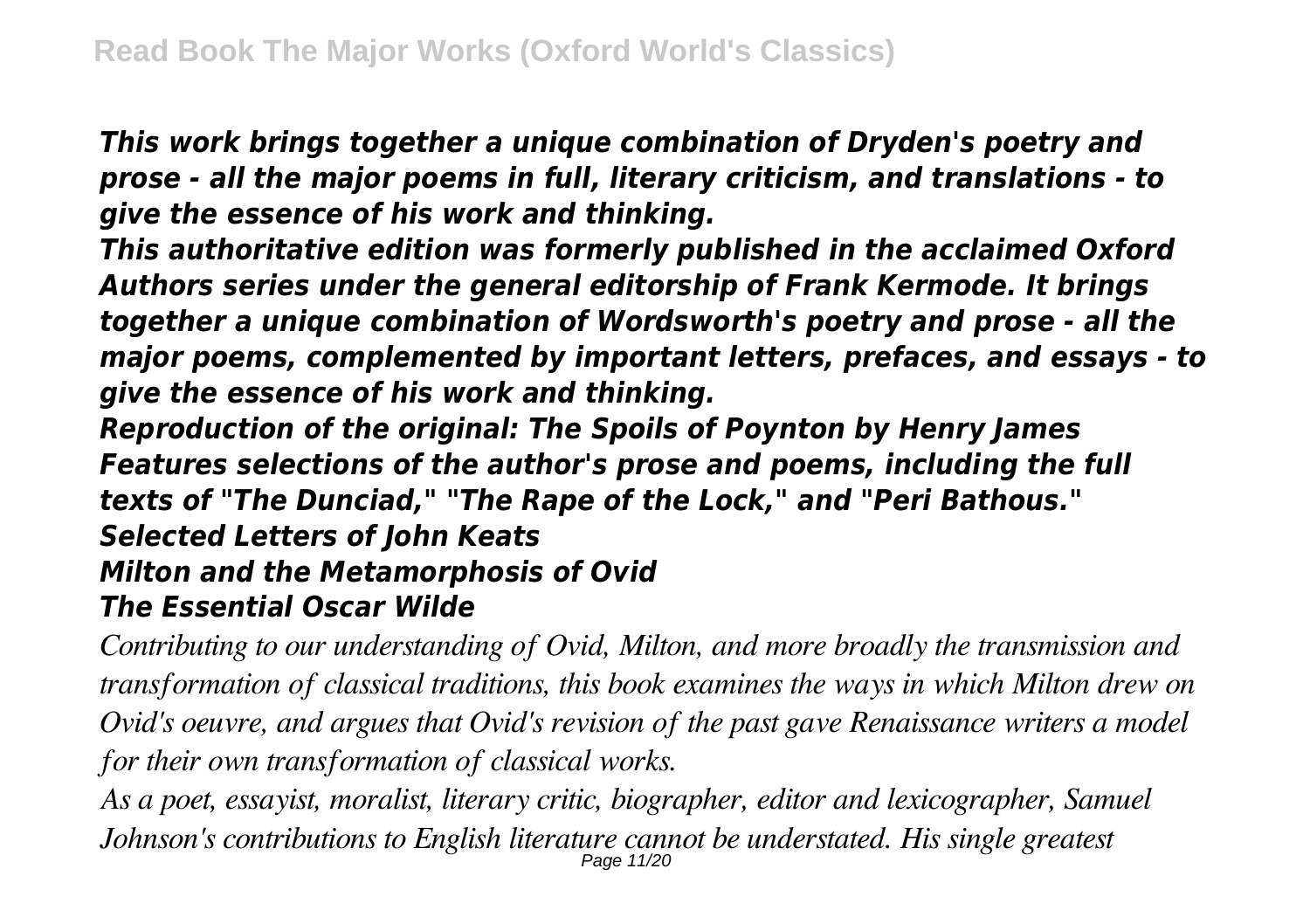*This work brings together a unique combination of Dryden's poetry and prose - all the major poems in full, literary criticism, and translations - to give the essence of his work and thinking.*

*This authoritative edition was formerly published in the acclaimed Oxford Authors series under the general editorship of Frank Kermode. It brings together a unique combination of Wordsworth's poetry and prose - all the major poems, complemented by important letters, prefaces, and essays - to give the essence of his work and thinking.*

*Reproduction of the original: The Spoils of Poynton by Henry James Features selections of the author's prose and poems, including the full texts of "The Dunciad," "The Rape of the Lock," and "Peri Bathous." Selected Letters of John Keats Milton and the Metamorphosis of Ovid The Essential Oscar Wilde*

*Contributing to our understanding of Ovid, Milton, and more broadly the transmission and transformation of classical traditions, this book examines the ways in which Milton drew on Ovid's oeuvre, and argues that Ovid's revision of the past gave Renaissance writers a model for their own transformation of classical works.*

*As a poet, essayist, moralist, literary critic, biographer, editor and lexicographer, Samuel Johnson's contributions to English literature cannot be understated. His single greatest* Page 11/20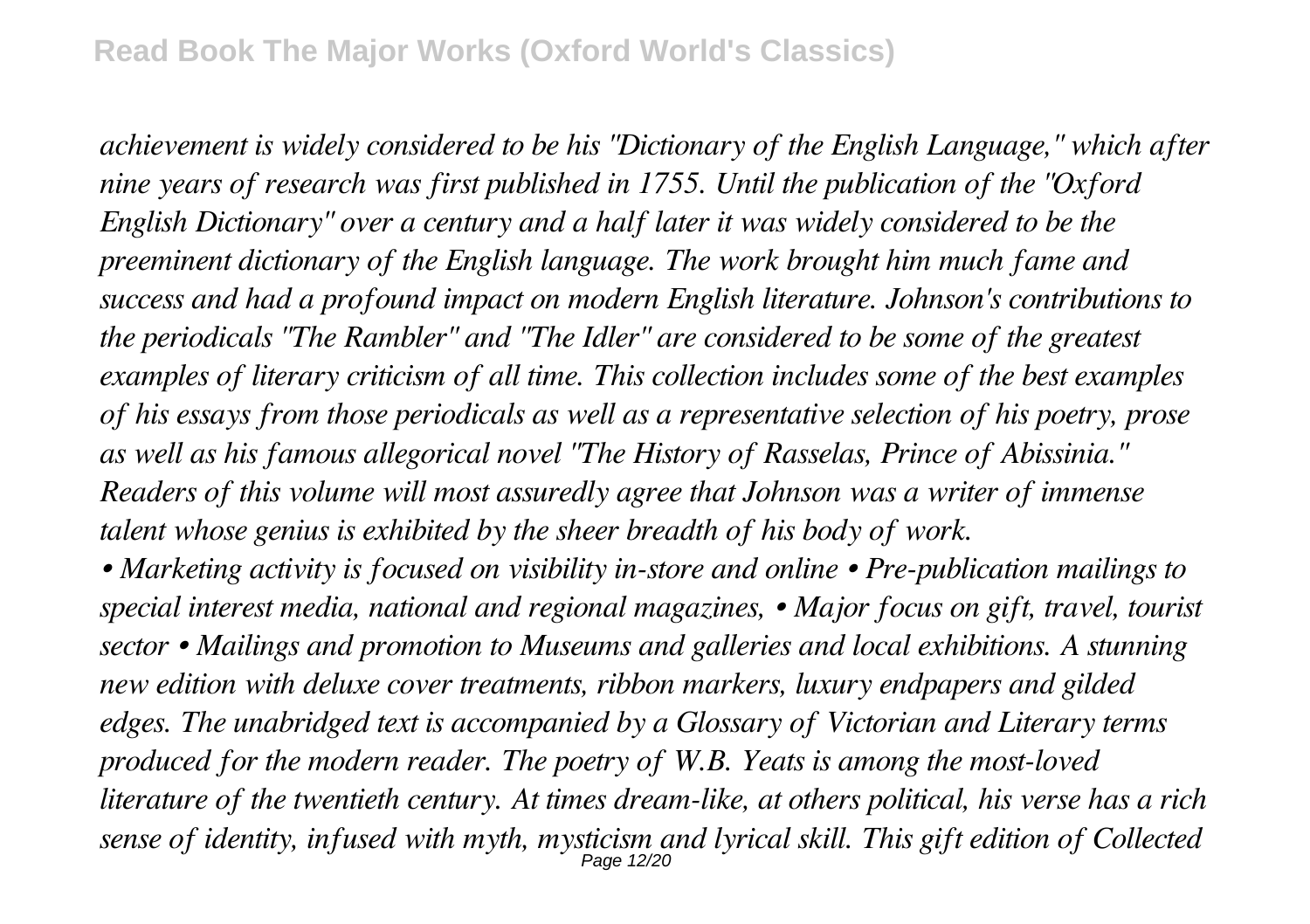*achievement is widely considered to be his "Dictionary of the English Language," which after nine years of research was first published in 1755. Until the publication of the "Oxford English Dictionary" over a century and a half later it was widely considered to be the preeminent dictionary of the English language. The work brought him much fame and success and had a profound impact on modern English literature. Johnson's contributions to the periodicals "The Rambler" and "The Idler" are considered to be some of the greatest examples of literary criticism of all time. This collection includes some of the best examples of his essays from those periodicals as well as a representative selection of his poetry, prose as well as his famous allegorical novel "The History of Rasselas, Prince of Abissinia." Readers of this volume will most assuredly agree that Johnson was a writer of immense talent whose genius is exhibited by the sheer breadth of his body of work.*

*• Marketing activity is focused on visibility in-store and online • Pre-publication mailings to special interest media, national and regional magazines, • Major focus on gift, travel, tourist sector • Mailings and promotion to Museums and galleries and local exhibitions. A stunning new edition with deluxe cover treatments, ribbon markers, luxury endpapers and gilded edges. The unabridged text is accompanied by a Glossary of Victorian and Literary terms produced for the modern reader. The poetry of W.B. Yeats is among the most-loved literature of the twentieth century. At times dream-like, at others political, his verse has a rich sense of identity, infused with myth, mysticism and lyrical skill. This gift edition of Collected* Page 12/20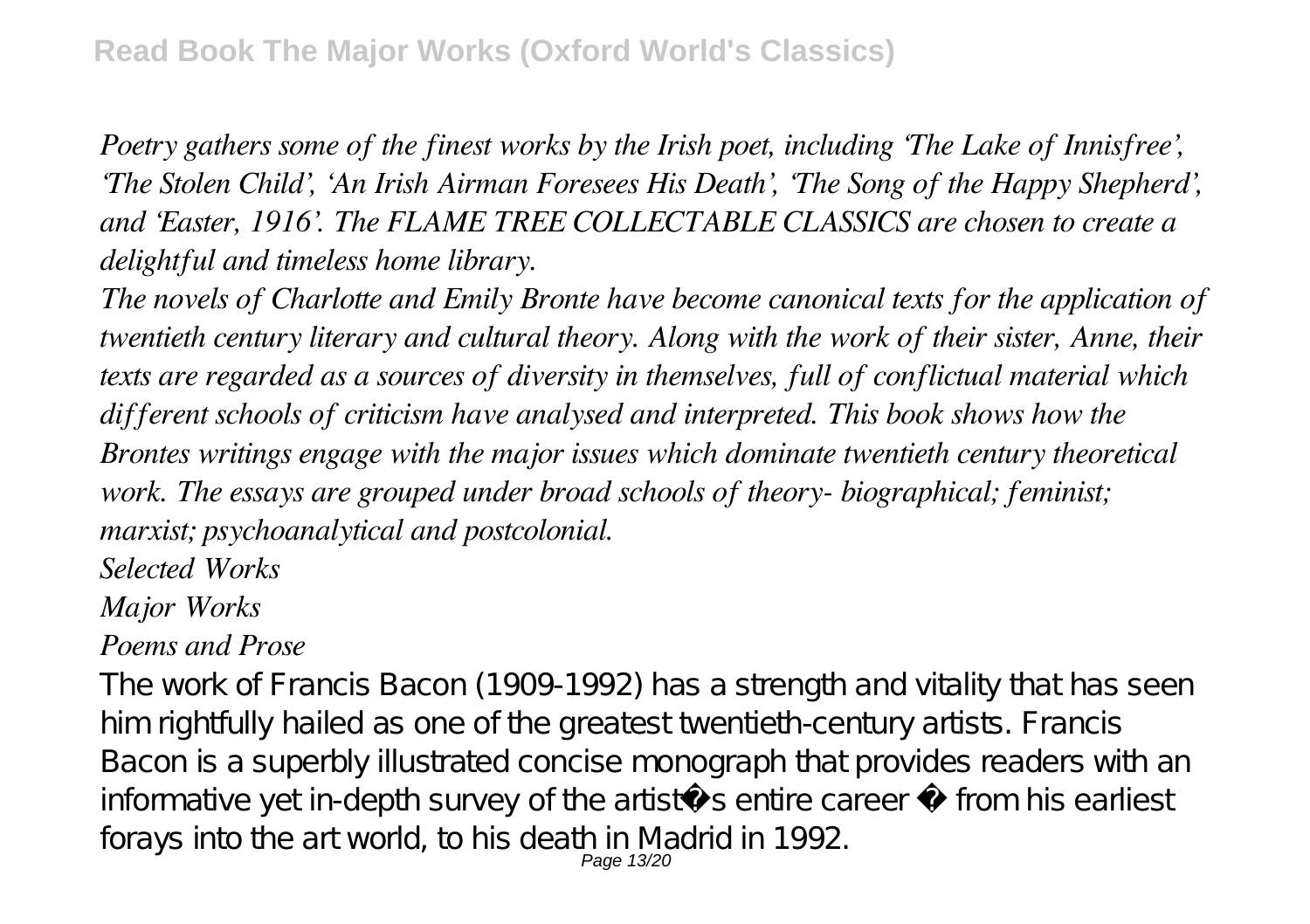*Poetry gathers some of the finest works by the Irish poet, including 'The Lake of Innisfree', 'The Stolen Child', 'An Irish Airman Foresees His Death', 'The Song of the Happy Shepherd', and 'Easter, 1916'. The FLAME TREE COLLECTABLE CLASSICS are chosen to create a delightful and timeless home library.*

*The novels of Charlotte and Emily Bronte have become canonical texts for the application of twentieth century literary and cultural theory. Along with the work of their sister, Anne, their texts are regarded as a sources of diversity in themselves, full of conflictual material which different schools of criticism have analysed and interpreted. This book shows how the Brontes writings engage with the major issues which dominate twentieth century theoretical work. The essays are grouped under broad schools of theory- biographical; feminist; marxist; psychoanalytical and postcolonial.*

*Selected Works*

*Major Works*

## *Poems and Prose*

The work of Francis Bacon (1909-1992) has a strength and vitality that has seen him rightfully hailed as one of the greatest twentieth-century artists. Francis Bacon is a superbly illustrated concise monograph that provides readers with an informative yet in-depth survey of the artist $i$  s entire career  $i$  from his earliest forays into the art world, to his death in Madrid in 1992.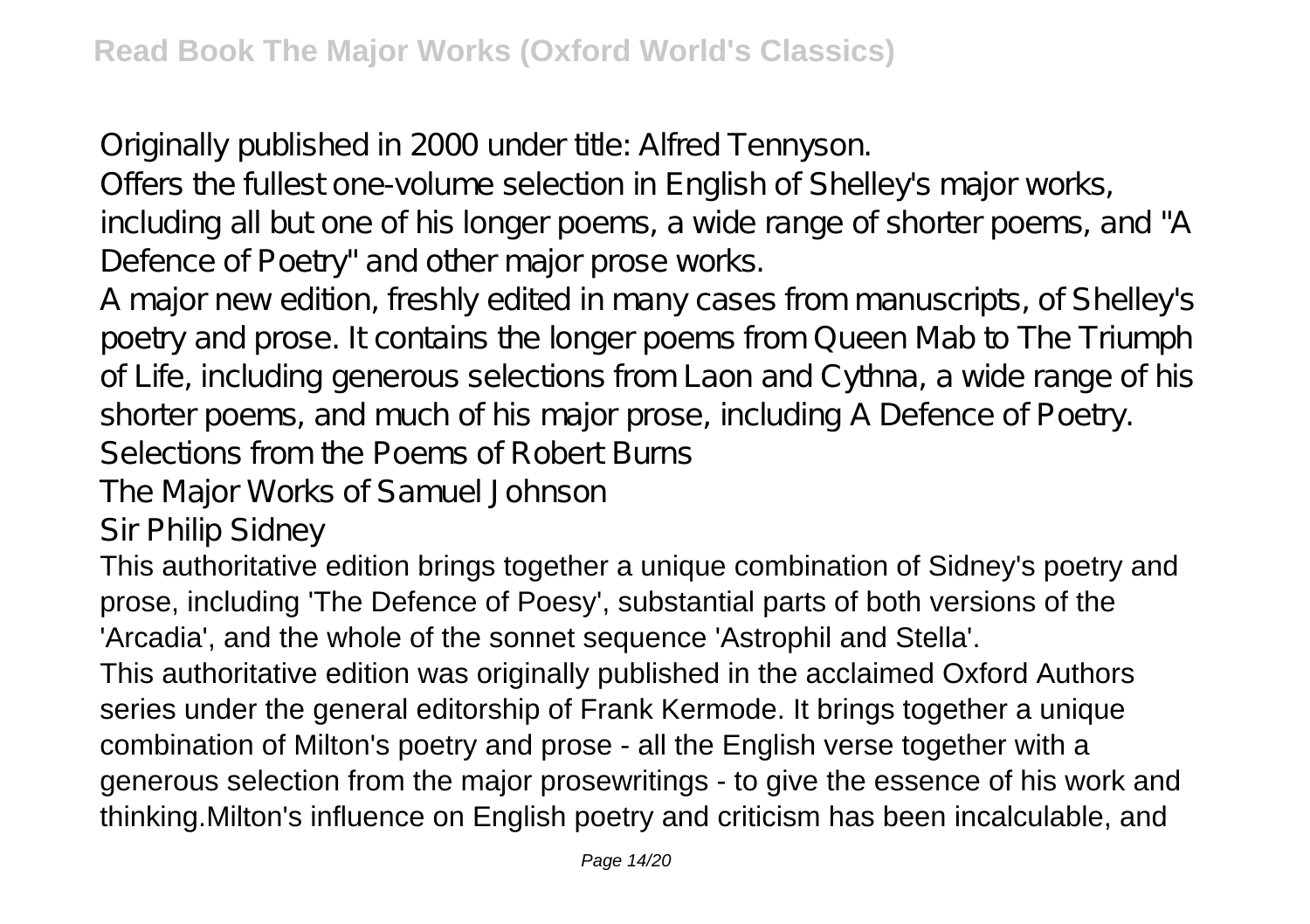Originally published in 2000 under title: Alfred Tennyson.

Offers the fullest one-volume selection in English of Shelley's major works,

including all but one of his longer poems, a wide range of shorter poems, and "A Defence of Poetry" and other major prose works.

A major new edition, freshly edited in many cases from manuscripts, of Shelley's poetry and prose. It contains the longer poems from Queen Mab to The Triumph of Life, including generous selections from Laon and Cythna, a wide range of his shorter poems, and much of his major prose, including A Defence of Poetry.

Selections from the Poems of Robert Burns

The Major Works of Samuel Johnson

Sir Philip Sidney

This authoritative edition brings together a unique combination of Sidney's poetry and prose, including 'The Defence of Poesy', substantial parts of both versions of the 'Arcadia', and the whole of the sonnet sequence 'Astrophil and Stella'.

This authoritative edition was originally published in the acclaimed Oxford Authors series under the general editorship of Frank Kermode. It brings together a unique combination of Milton's poetry and prose - all the English verse together with a generous selection from the major prosewritings - to give the essence of his work and thinking.Milton's influence on English poetry and criticism has been incalculable, and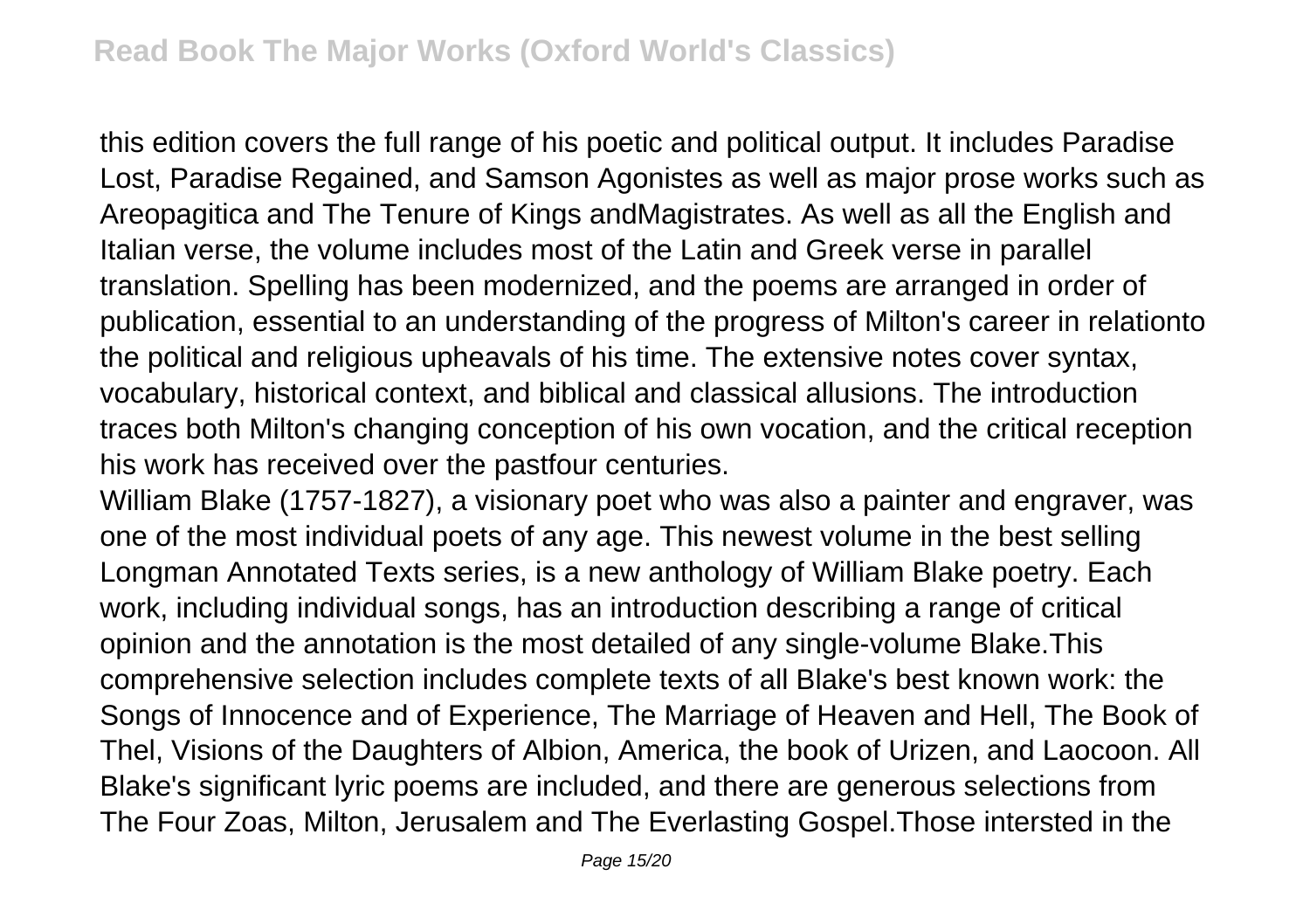this edition covers the full range of his poetic and political output. It includes Paradise Lost, Paradise Regained, and Samson Agonistes as well as major prose works such as Areopagitica and The Tenure of Kings andMagistrates. As well as all the English and Italian verse, the volume includes most of the Latin and Greek verse in parallel translation. Spelling has been modernized, and the poems are arranged in order of publication, essential to an understanding of the progress of Milton's career in relationto the political and religious upheavals of his time. The extensive notes cover syntax, vocabulary, historical context, and biblical and classical allusions. The introduction traces both Milton's changing conception of his own vocation, and the critical reception his work has received over the pastfour centuries.

William Blake (1757-1827), a visionary poet who was also a painter and engraver, was one of the most individual poets of any age. This newest volume in the best selling Longman Annotated Texts series, is a new anthology of William Blake poetry. Each work, including individual songs, has an introduction describing a range of critical opinion and the annotation is the most detailed of any single-volume Blake.This comprehensive selection includes complete texts of all Blake's best known work: the Songs of Innocence and of Experience, The Marriage of Heaven and Hell, The Book of Thel, Visions of the Daughters of Albion, America, the book of Urizen, and Laocoon. All Blake's significant lyric poems are included, and there are generous selections from The Four Zoas, Milton, Jerusalem and The Everlasting Gospel.Those intersted in the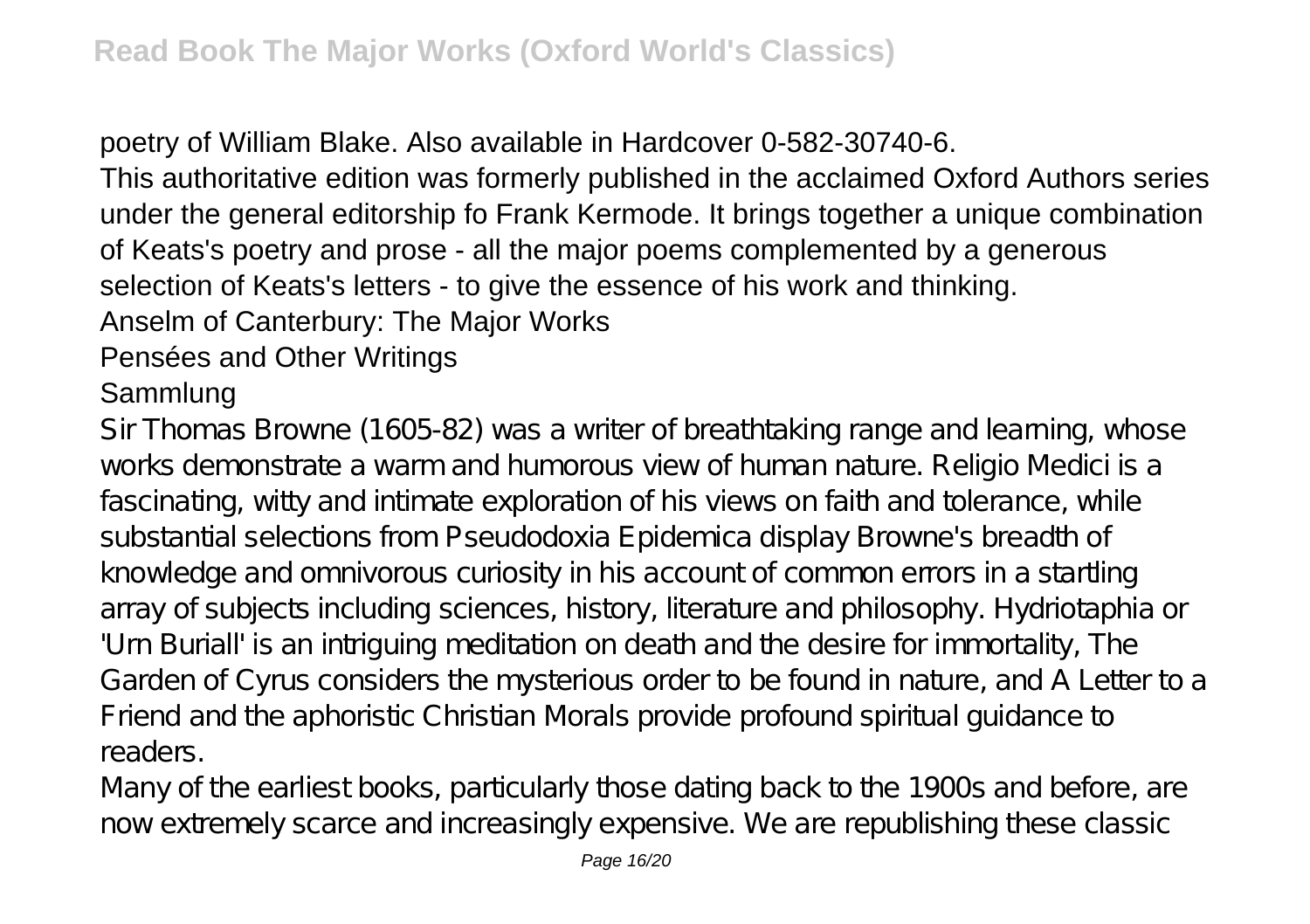poetry of William Blake. Also available in Hardcover 0-582-30740-6.

This authoritative edition was formerly published in the acclaimed Oxford Authors series under the general editorship fo Frank Kermode. It brings together a unique combination of Keats's poetry and prose - all the major poems complemented by a generous selection of Keats's letters - to give the essence of his work and thinking.

Anselm of Canterbury: The Major Works

### Pensées and Other Writings

### Sammlung

Sir Thomas Browne (1605-82) was a writer of breathtaking range and learning, whose works demonstrate a warm and humorous view of human nature. Religio Medici is a fascinating, witty and intimate exploration of his views on faith and tolerance, while substantial selections from Pseudodoxia Epidemica display Browne's breadth of knowledge and omnivorous curiosity in his account of common errors in a startling array of subjects including sciences, history, literature and philosophy. Hydriotaphia or 'Urn Buriall' is an intriguing meditation on death and the desire for immortality, The Garden of Cyrus considers the mysterious order to be found in nature, and A Letter to a Friend and the aphoristic Christian Morals provide profound spiritual guidance to readers.

Many of the earliest books, particularly those dating back to the 1900s and before, are now extremely scarce and increasingly expensive. We are republishing these classic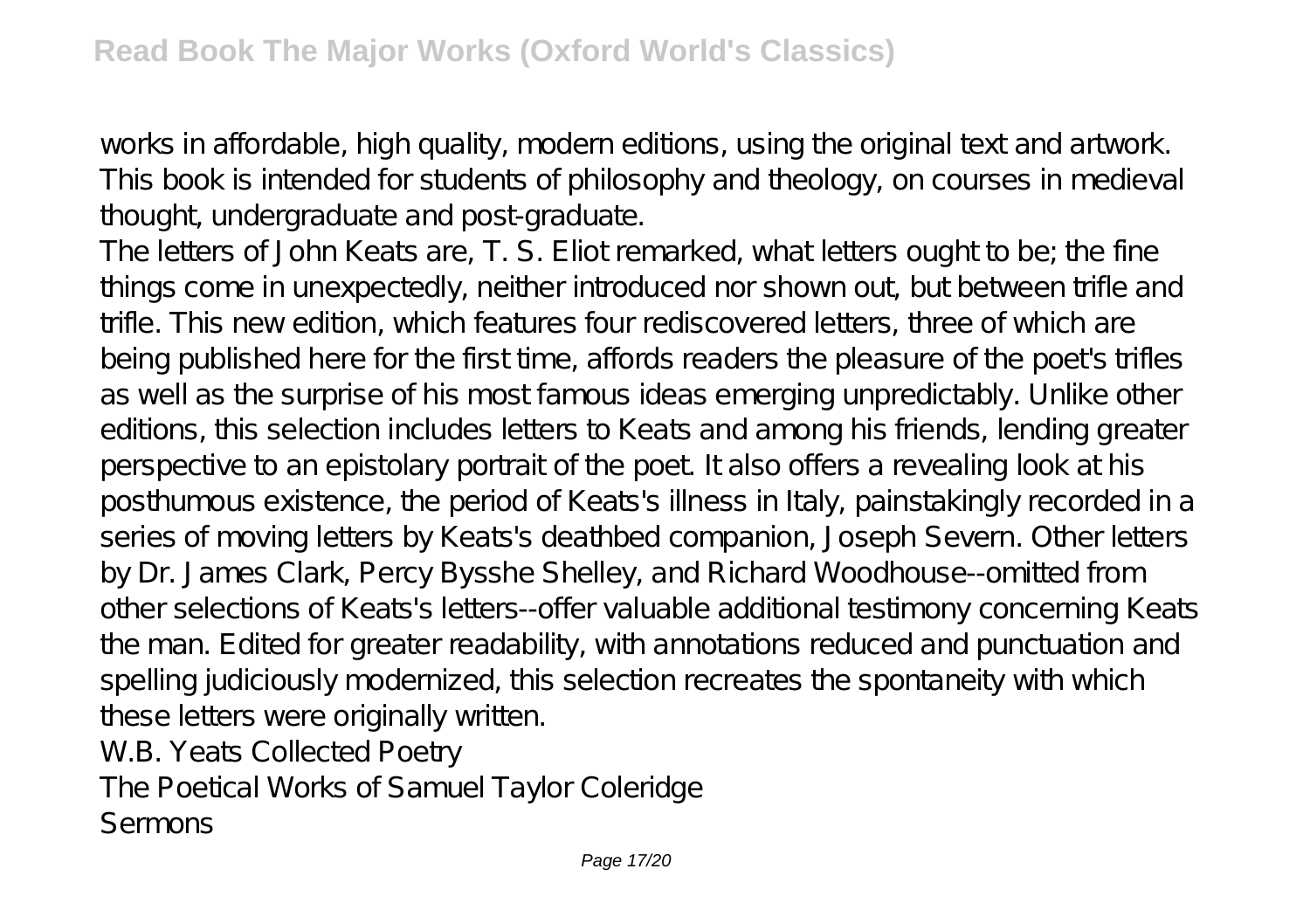works in affordable, high quality, modern editions, using the original text and artwork. This book is intended for students of philosophy and theology, on courses in medieval thought, undergraduate and post-graduate.

The letters of John Keats are, T. S. Eliot remarked, what letters ought to be; the fine things come in unexpectedly, neither introduced nor shown out, but between trifle and trifle. This new edition, which features four rediscovered letters, three of which are being published here for the first time, affords readers the pleasure of the poet's trifles as well as the surprise of his most famous ideas emerging unpredictably. Unlike other editions, this selection includes letters to Keats and among his friends, lending greater perspective to an epistolary portrait of the poet. It also offers a revealing look at his posthumous existence, the period of Keats's illness in Italy, painstakingly recorded in a series of moving letters by Keats's deathbed companion, Joseph Severn. Other letters by Dr. James Clark, Percy Bysshe Shelley, and Richard Woodhouse--omitted from other selections of Keats's letters--offer valuable additional testimony concerning Keats the man. Edited for greater readability, with annotations reduced and punctuation and spelling judiciously modernized, this selection recreates the spontaneity with which these letters were originally written.

W.B. Yeats Collected Poetry

The Poetical Works of Samuel Taylor Coleridge Sermons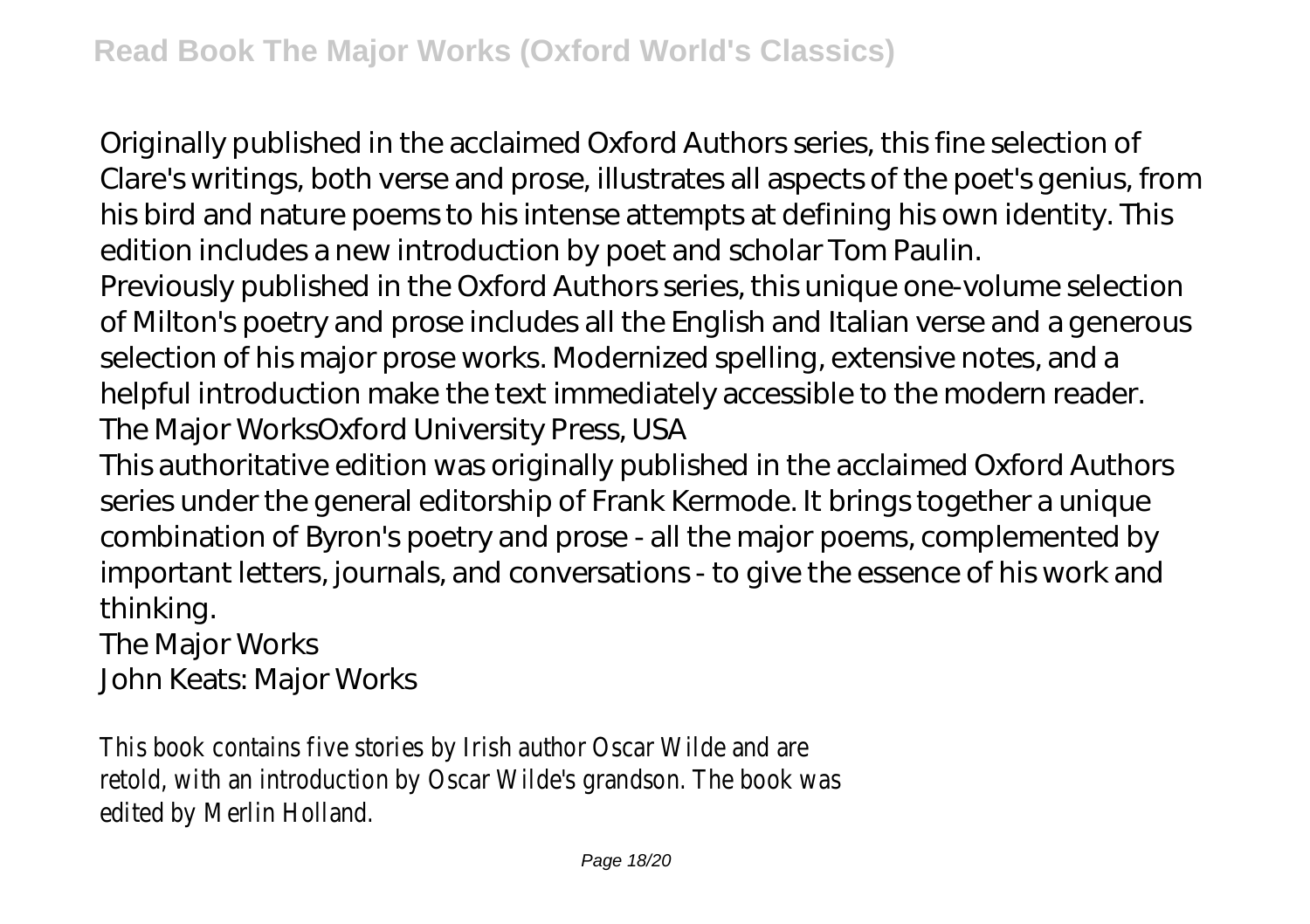Originally published in the acclaimed Oxford Authors series, this fine selection of Clare's writings, both verse and prose, illustrates all aspects of the poet's genius, from his bird and nature poems to his intense attempts at defining his own identity. This edition includes a new introduction by poet and scholar Tom Paulin.

Previously published in the Oxford Authors series, this unique one-volume selection of Milton's poetry and prose includes all the English and Italian verse and a generous selection of his major prose works. Modernized spelling, extensive notes, and a helpful introduction make the text immediately accessible to the modern reader. The Major WorksOxford University Press, USA

This authoritative edition was originally published in the acclaimed Oxford Authors series under the general editorship of Frank Kermode. It brings together a unique combination of Byron's poetry and prose - all the major poems, complemented by important letters, journals, and conversations - to give the essence of his work and thinking.

The Major Works

John Keats: Major Works

This book contains five stories by Irish author Oscar Wilde and are retold, with an introduction by Oscar Wilde's grandson. The book was edited by Merlin Holland.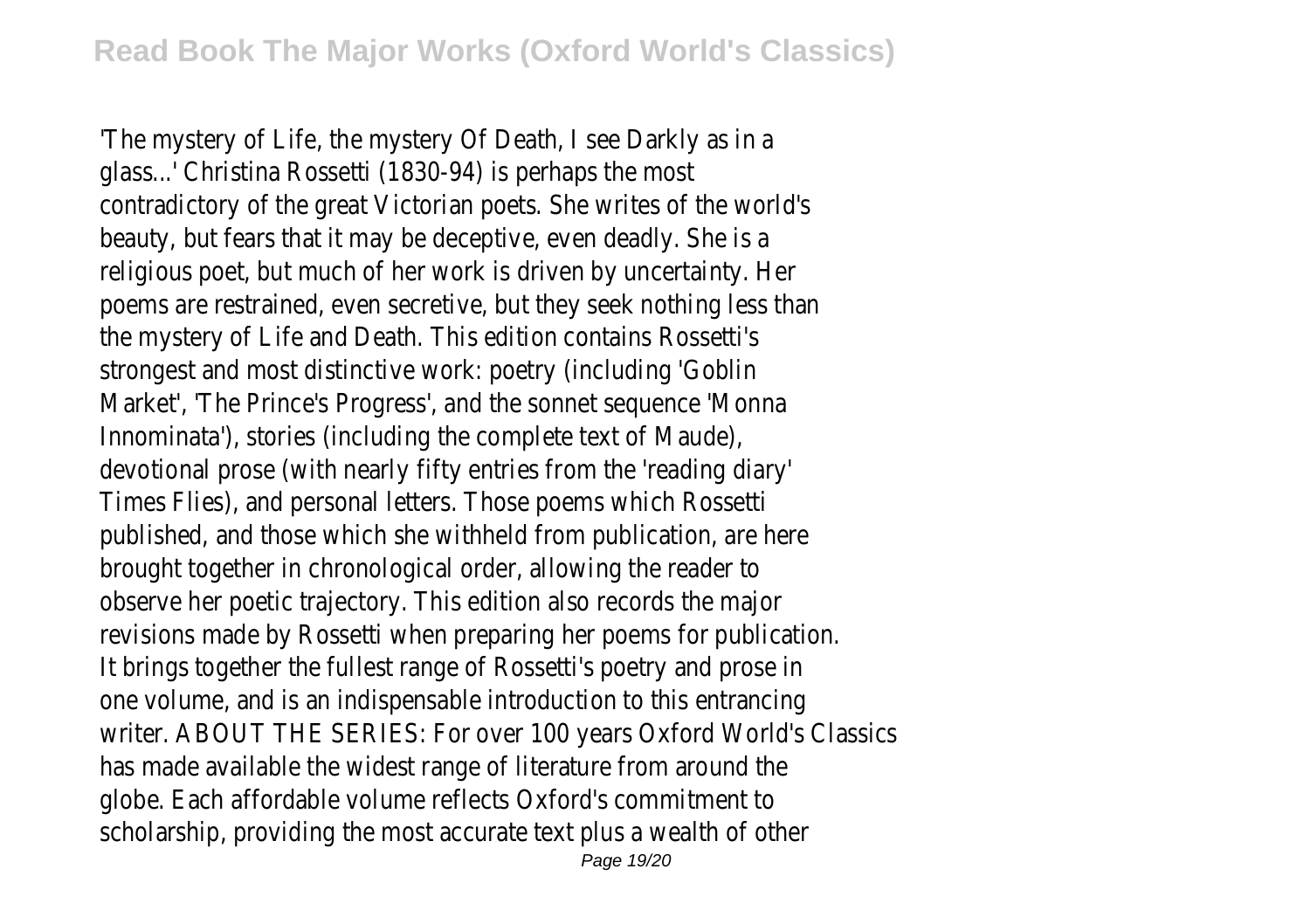'The mystery of Life, the mystery Of Death, I see Darkly as in a glass...' Christina Rossetti (1830-94) is perhaps the most contradictory of the great Victorian poets. She writes of the world's beauty, but fears that it may be deceptive, even deadly. She is a religious poet, but much of her work is driven by uncertainty. Her poems are restrained, even secretive, but they seek nothing less than the mystery of Life and Death. This edition contains Rossetti's strongest and most distinctive work: poetry (including 'Goblin Market', 'The Prince's Progress', and the sonnet sequence 'Monna Innominata'), stories (including the complete text of Maude), devotional prose (with nearly fifty entries from the 'reading diary' Times Flies), and personal letters. Those poems which Rossetti published, and those which she withheld from publication, are here brought together in chronological order, allowing the reader to observe her poetic trajectory. This edition also records the major revisions made by Rossetti when preparing her poems for publication. It brings together the fullest range of Rossetti's poetry and prose in one volume, and is an indispensable introduction to this entrancing writer. ABOUT THE SERIES: For over 100 years Oxford World's Classics has made available the widest range of literature from around the globe. Each affordable volume reflects Oxford's commitment to scholarship, providing the most accurate text plus a wealth of other